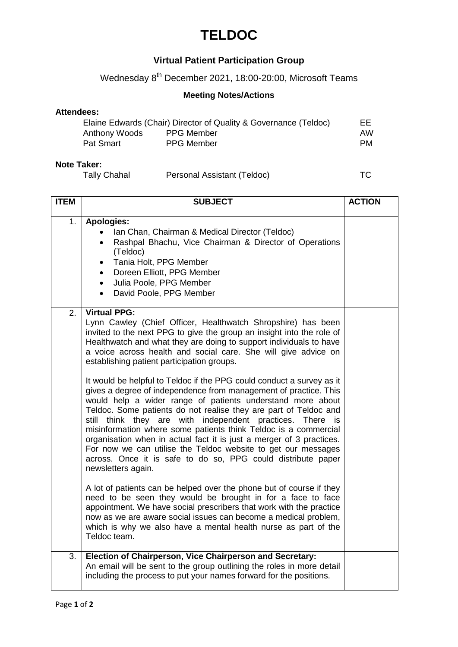## **TELDOC**

### **Virtual Patient Participation Group**

Wednesday 8<sup>th</sup> December 2021, 18:00-20:00, Microsoft Teams

### **Meeting Notes/Actions**

#### **Attendees:**

|               | Elaine Edwards (Chair) Director of Quality & Governance (Teldoc) | EE  |
|---------------|------------------------------------------------------------------|-----|
| Anthony Woods | <b>PPG Member</b>                                                | AW. |
| Pat Smart     | <b>PPG Member</b>                                                | PM. |

#### **Note Taker:**

| Tally Chahal | Personal Assistant (Teldoc) | ТC |  |
|--------------|-----------------------------|----|--|
|              |                             |    |  |

| <b>ITEM</b> | <b>SUBJECT</b>                                                                                                                                                                                                                                                                                                                                                                                                                                                                                                                                                                                                                                                                                                                                                                                                                                                                                                                                                                                                                                                                                                                                                                                                                                                                                                                                                      | <b>ACTION</b> |
|-------------|---------------------------------------------------------------------------------------------------------------------------------------------------------------------------------------------------------------------------------------------------------------------------------------------------------------------------------------------------------------------------------------------------------------------------------------------------------------------------------------------------------------------------------------------------------------------------------------------------------------------------------------------------------------------------------------------------------------------------------------------------------------------------------------------------------------------------------------------------------------------------------------------------------------------------------------------------------------------------------------------------------------------------------------------------------------------------------------------------------------------------------------------------------------------------------------------------------------------------------------------------------------------------------------------------------------------------------------------------------------------|---------------|
| 1.          | <b>Apologies:</b><br>Ian Chan, Chairman & Medical Director (Teldoc)<br>Rashpal Bhachu, Vice Chairman & Director of Operations<br>(Teldoc)<br>Tania Holt, PPG Member<br>$\bullet$<br>Doreen Elliott, PPG Member<br>$\bullet$<br>· Julia Poole, PPG Member<br>David Poole, PPG Member<br>$\bullet$                                                                                                                                                                                                                                                                                                                                                                                                                                                                                                                                                                                                                                                                                                                                                                                                                                                                                                                                                                                                                                                                    |               |
| 2.          | <b>Virtual PPG:</b><br>Lynn Cawley (Chief Officer, Healthwatch Shropshire) has been<br>invited to the next PPG to give the group an insight into the role of<br>Healthwatch and what they are doing to support individuals to have<br>a voice across health and social care. She will give advice on<br>establishing patient participation groups.<br>It would be helpful to Teldoc if the PPG could conduct a survey as it<br>gives a degree of independence from management of practice. This<br>would help a wider range of patients understand more about<br>Teldoc. Some patients do not realise they are part of Teldoc and<br>still think they are with independent practices. There is<br>misinformation where some patients think Teldoc is a commercial<br>organisation when in actual fact it is just a merger of 3 practices.<br>For now we can utilise the Teldoc website to get our messages<br>across. Once it is safe to do so, PPG could distribute paper<br>newsletters again.<br>A lot of patients can be helped over the phone but of course if they<br>need to be seen they would be brought in for a face to face<br>appointment. We have social prescribers that work with the practice<br>now as we are aware social issues can become a medical problem,<br>which is why we also have a mental health nurse as part of the<br>Teldoc team. |               |
| 3.          | Election of Chairperson, Vice Chairperson and Secretary:<br>An email will be sent to the group outlining the roles in more detail<br>including the process to put your names forward for the positions.                                                                                                                                                                                                                                                                                                                                                                                                                                                                                                                                                                                                                                                                                                                                                                                                                                                                                                                                                                                                                                                                                                                                                             |               |